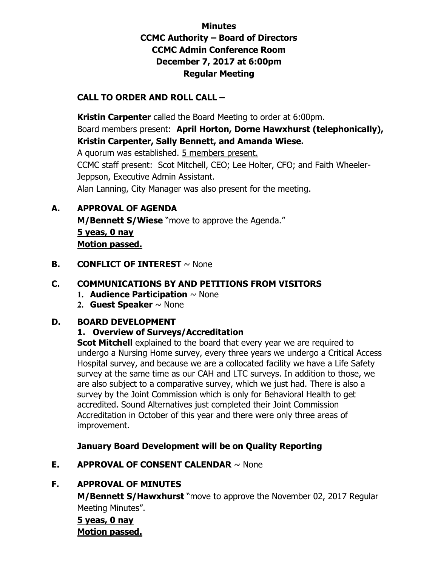## **Minutes CCMC Authority – Board of Directors CCMC Admin Conference Room December 7, 2017 at 6:00pm Regular Meeting**

## **CALL TO ORDER AND ROLL CALL –**

 **Kristin Carpenter** called the Board Meeting to order at 6:00pm. Board members present: **April Horton, Dorne Hawxhurst (telephonically), Kristin Carpenter, Sally Bennett, and Amanda Wiese.**  A quorum was established. 5 members present. CCMC staff present: Scot Mitchell, CEO; Lee Holter, CFO; and Faith Wheeler-Jeppson, Executive Admin Assistant. Alan Lanning, City Manager was also present for the meeting.

## **A. APPROVAL OF AGENDA**

**M/Bennett S/Wiese** "move to approve the Agenda." **5 yeas, 0 nay Motion passed.** 

### **B. CONFLICT OF INTEREST**  $\sim$  None

## **C. COMMUNICATIONS BY AND PETITIONS FROM VISITORS**

- **1. Audience Participation** ~ None
- **2. Guest Speaker** ~ None

#### **D. BOARD DEVELOPMENT**

### **1. Overview of Surveys/Accreditation**

**Scot Mitchell** explained to the board that every year we are required to undergo a Nursing Home survey, every three years we undergo a Critical Access Hospital survey, and because we are a collocated facility we have a Life Safety survey at the same time as our CAH and LTC surveys. In addition to those, we are also subject to a comparative survey, which we just had. There is also a survey by the Joint Commission which is only for Behavioral Health to get accredited. Sound Alternatives just completed their Joint Commission Accreditation in October of this year and there were only three areas of improvement.

### **January Board Development will be on Quality Reporting**

### **E. APPROVAL OF CONSENT CALENDAR** ~ None

### **F. APPROVAL OF MINUTES**

**M/Bennett S/Hawxhurst** "move to approve the November 02, 2017 Regular Meeting Minutes".

## **5 yeas, 0 nay Motion passed.**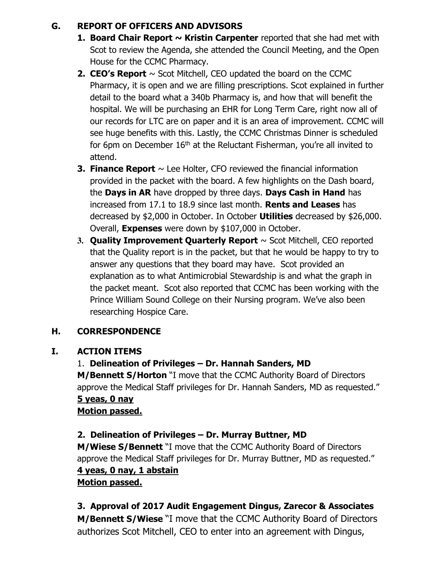## **G. REPORT OF OFFICERS AND ADVISORS**

- **1. Board Chair Report ~ Kristin Carpenter** reported that she had met with Scot to review the Agenda, she attended the Council Meeting, and the Open House for the CCMC Pharmacy.
- **2. CEO's Report**  $\sim$  Scot Mitchell, CEO updated the board on the CCMC Pharmacy, it is open and we are filling prescriptions. Scot explained in further detail to the board what a 340b Pharmacy is, and how that will benefit the hospital. We will be purchasing an EHR for Long Term Care, right now all of our records for LTC are on paper and it is an area of improvement. CCMC will see huge benefits with this. Lastly, the CCMC Christmas Dinner is scheduled for 6pm on December  $16<sup>th</sup>$  at the Reluctant Fisherman, you're all invited to attend.
- **3. Finance Report**  $\sim$  Lee Holter, CFO reviewed the financial information provided in the packet with the board. A few highlights on the Dash board, the **Days in AR** have dropped by three days. **Days Cash in Hand** has increased from 17.1 to 18.9 since last month. **Rents and Leases** has decreased by \$2,000 in October. In October **Utilities** decreased by \$26,000. Overall, **Expenses** were down by \$107,000 in October.
- **3. Quality Improvement Quarterly Report** ~ Scot Mitchell, CEO reported that the Quality report is in the packet, but that he would be happy to try to answer any questions that they board may have. Scot provided an explanation as to what Antimicrobial Stewardship is and what the graph in the packet meant. Scot also reported that CCMC has been working with the Prince William Sound College on their Nursing program. We've also been researching Hospice Care.

## **H. CORRESPONDENCE**

### **I. ACTION ITEMS**

### 1. **Delineation of Privileges – Dr. Hannah Sanders, MD**

**M/Bennett S/Horton** "I move that the CCMC Authority Board of Directors approve the Medical Staff privileges for Dr. Hannah Sanders, MD as requested." **5 yeas, 0 nay** 

# **Motion passed.**

### **2. Delineation of Privileges – Dr. Murray Buttner, MD**

**M/Wiese S/Bennett** "I move that the CCMC Authority Board of Directors approve the Medical Staff privileges for Dr. Murray Buttner, MD as requested." **4 yeas, 0 nay, 1 abstain** 

# **Motion passed.**

### **3. Approval of 2017 Audit Engagement Dingus, Zarecor & Associates**

**M/Bennett S/Wiese** "I move that the CCMC Authority Board of Directors authorizes Scot Mitchell, CEO to enter into an agreement with Dingus,